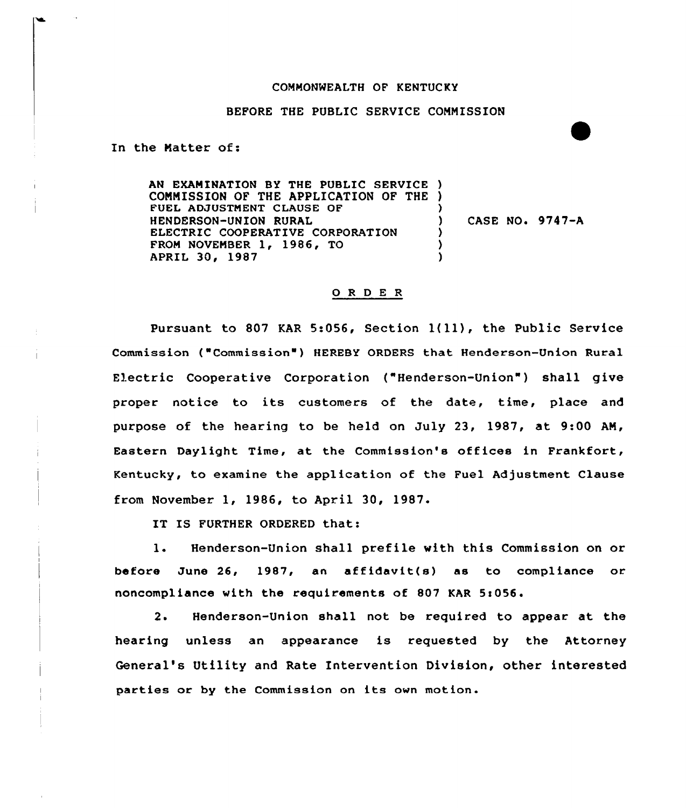## COMMONWEALTH OF KENTUCKY

## BEFORE THE PUBLIC SERVICE COMMISSION

In the Matter of:

AN EXAMINATION BY THE PUBLIC SERVICE ) COMMISSION OF THE APPLICATION OF THE ) FUEL ADJUSTMENT CLAUSE OF HENDERSON-UNION RURAL ELECTRIC COOPERATIVE CORPORATION FROM NOVEMBER 1, 1986, TO APRIL 30, 1987 ) CASE NO. 9747-A ) ) )

## 0 <sup>R</sup> <sup>D</sup> E <sup>R</sup>

Pursuant to <sup>807</sup> KAR 5:056, Section l(11), the Public Service Commission ("Commission" ) HEREBY ORDERS that Henderson-Union Rural Electric Cooperative Corporation ("Henderson-Union" ) shall give proper notice to its customers of the date, time, place and purpose of the hearing to be held on July 23, 1987, at 9:00 AM, Eastern Daylight Time, at the Commission's offices in Frankfort, Kentucky, to examine the application of the Fuel Adjustment Clause from November 1, 1986, to April 30, 1987.

IT IS FURTHER ORDERED that:

1. Henderson-Union shall prefile with this Commission on or before June 26, 1987, an affidavit(s) as to compliance or noncompliance with the requirements of 807 KAR 5:056.

2. Henderson-Union shall not be required to appear at the hearing unless an appearance is requested by the Attorney General's Utility and Rate Intervention Division, other interested parties or by the Commission on its own motion.